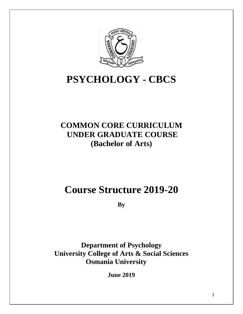

# **PSYCHOLOGY - CBCS**

# **COMMON CORE CURRICULUM UNDER GRADUATE COURSE (Bachelor of Arts)**

# **Course Structure 2019-20**

**By** 

**Department of Psychology University College of Arts & Social Sciences Osmania University**

**June 2019**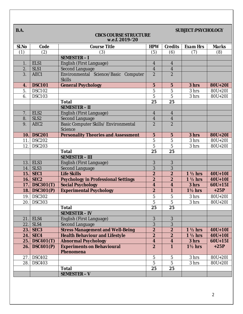| B.A.  | SUBJECT:PSYCHOLOGY<br><b>CBCS COURSE STRUCTURE</b><br>w.e.f. 2019-'20 |                                                       |                         |                  |                    |             |  |
|-------|-----------------------------------------------------------------------|-------------------------------------------------------|-------------------------|------------------|--------------------|-------------|--|
| Sl.No | Code                                                                  | <b>Course Title</b>                                   | <b>HPW</b>              | Credits          | Exam Hrs           | Marks       |  |
| (1)   | (2)                                                                   | (3)                                                   | (5)                     | (6)              | (7)                | (8)         |  |
|       |                                                                       | SEMESTER-I                                            |                         |                  |                    |             |  |
| 1.    | ELS1                                                                  | English (First Language)                              | $\overline{4}$          | $\overline{4}$   |                    |             |  |
| 2.    | SLS1                                                                  | <b>Second Language</b>                                | $\overline{\mathbf{4}}$ | $\overline{4}$   |                    |             |  |
| 3.    | AEC1                                                                  | Environmental Science/Basic Computer<br><b>Skills</b> | $\overline{2}$          | $\overline{2}$   |                    |             |  |
| 4.    | <b>DSC101</b>                                                         | <b>General Psychology</b>                             | $\overline{5}$          | $\overline{5}$   | 3 hrs              | 80U+20I     |  |
| 5.    | <b>DSC102</b>                                                         |                                                       | $\overline{5}$          | $\overline{5}$   | 3 hrs              | 80U+20I     |  |
| 6.    | <b>DSC103</b>                                                         |                                                       | $\overline{5}$          | $\overline{5}$   | 3 hrs              | 80U+20I     |  |
|       |                                                                       | <b>Total</b>                                          | 25                      | 25               |                    |             |  |
|       |                                                                       | <b>SEMESTER - II</b>                                  |                         |                  |                    |             |  |
| 7.    | ELS2                                                                  | English (First Language)                              | $\overline{4}$          | $\overline{4}$   |                    |             |  |
| 8.    | SLS <sub>2</sub>                                                      | <b>Second Language</b>                                | $\overline{\mathbf{4}}$ | $\boldsymbol{4}$ |                    |             |  |
| 9.    | AEC <sub>2</sub>                                                      | Basic Computer Skills/ Environmental<br>Science       | $\overline{2}$          | $\overline{2}$   |                    |             |  |
| 10.   | <b>DSC201</b>                                                         | <b>Personality Theories and Assessment</b>            | $\overline{5}$          | $\overline{5}$   | 3 hrs              | 80U+20I     |  |
| 11.   | <b>DSC202</b>                                                         |                                                       | $\overline{5}$          | $\overline{5}$   | 3 hrs              | 80U+20I     |  |
| 12.   | <b>DSC203</b>                                                         |                                                       | $\overline{5}$          | $\overline{5}$   | 3 hrs              | 80U+20I     |  |
|       |                                                                       | <b>Total</b>                                          | 25                      | 25               |                    |             |  |
|       |                                                                       | <b>SEMESTER - III</b>                                 |                         |                  |                    |             |  |
|       | 13. ELS3                                                              | English (First Language)                              | 3                       | 3                |                    |             |  |
| 14.   | SLS3                                                                  | <b>Second Language</b>                                | 3                       | 3                |                    |             |  |
| 15.   | SEC1                                                                  | <b>Life Skills</b>                                    | $\overline{c}$          | $\boldsymbol{2}$ | $1\frac{1}{2}$ hrs | $40U + 10I$ |  |
| 16.   | SEC <sub>2</sub>                                                      | <b>Psychology in Professional Settings</b>            | $\overline{2}$          | $\overline{2}$   | $1\frac{1}{2}$ hrs | $40U + 10I$ |  |
| 17.   | DSC301(T)                                                             | <b>Social Psychology</b>                              | $\overline{4}$          | $\overline{4}$   | 3 hrs              | $60U + 15I$ |  |
| 18.   | DSC301(P)                                                             | <b>Experimental Psychology</b>                        | $\boldsymbol{2}$        | $\mathbf{1}$     | $1\frac{1}{2}$ hrs | $+25P$      |  |
|       | 19. DSC302                                                            |                                                       | $\overline{5}$          | 5                | 3 hrs              | 80U+20I     |  |
| 20.1  | <b>DSC303</b>                                                         |                                                       | $\overline{5}$          | $\overline{5}$   | 3 hrs              | 80U+20I     |  |
|       |                                                                       | Total                                                 | 25                      | 25               |                    |             |  |
|       |                                                                       | <b>SEMESTER - IV</b>                                  |                         |                  |                    |             |  |
|       | $21.$ ELS4                                                            | English (First Language)                              | 3                       | $\sqrt{3}$       |                    |             |  |
|       | $22.$ SLS4                                                            | <b>Second Language</b>                                | $\sqrt{3}$              | 3                |                    |             |  |
|       | $23.$ SEC3                                                            | <b>Stress Management and Well-Being</b>               | $\overline{2}$          | $\overline{2}$   | $1\frac{1}{2}$ hrs | $40U+10I$   |  |
|       | $24.$ SEC4                                                            | <b>Health Behaviour and Lifestyle</b>                 | $\overline{2}$          | $\boldsymbol{2}$ | $1\frac{1}{2}$ hrs | $40U + 10I$ |  |
|       | 25. DSC401 $(T)$                                                      | <b>Abnormal Psychology</b>                            | $\overline{4}$          | $\overline{4}$   | 3 hrs              | $60U+15I$   |  |
| 26.   | DSC401(P)                                                             | <b>Experiments on Behavioural</b><br>Phenomena        | $\boldsymbol{2}$        | $\mathbf{1}$     | $1\frac{1}{2}$ hrs | $+25P$      |  |
| 27.   | <b>DSC402</b>                                                         |                                                       | $\overline{5}$          | $\mathbf{5}$     | 3 hrs              | 80U+20I     |  |
| 28.   | <b>DSC403</b>                                                         |                                                       | $\overline{5}$          | $\overline{5}$   | 3 hrs              | 80U+20I     |  |
|       |                                                                       | Total                                                 | 25                      | 25               |                    |             |  |
|       |                                                                       | <b>SEMESTER - V</b>                                   |                         |                  |                    |             |  |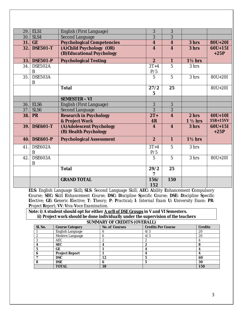| 29.  | ELS1             | English (First Language)          | 3                       | 3              |                    |             |
|------|------------------|-----------------------------------|-------------------------|----------------|--------------------|-------------|
| 30.1 | SLS4             | <b>Second Language</b>            | 3                       | 3              |                    |             |
| 31.  | GE               | <b>Psychological Competencies</b> | $\overline{\mathbf{4}}$ | $\overline{4}$ | 3 hrs              | 80U+20I     |
| 32.  | <b>DSE501-T</b>  | (A) Child Psychology (OR)         | $\overline{4}$          | $\overline{4}$ | 3 hrs              | $60U + 15I$ |
|      |                  | (B) Educational Psychology        |                         |                |                    | $+25P$      |
| 33.  | <b>DSE501-P</b>  | <b>Psychological Testing</b>      | $\overline{2}$          | $\mathbf{1}$   | $1\frac{1}{2}$ hrs |             |
| 34.  | DSE502A          |                                   | $3T+4$                  | 5              | 3 hrs              |             |
|      | B                |                                   | P/5                     |                |                    |             |
| 35.  | DSE503A          |                                   | 5                       | $\overline{5}$ | 3 hrs              | $80U+20I$   |
|      | B                |                                   |                         |                |                    |             |
|      |                  | Total                             | 27/2                    | 25             |                    | 80U+20I     |
|      |                  |                                   | 5                       |                |                    |             |
|      |                  | <b>SEMESTER - VI</b>              |                         |                |                    |             |
| 36.  | ELS6             | English (First Language)          | 3                       | 3              |                    |             |
| 37.  | SLS <sub>6</sub> | <b>Second Language</b>            | 3                       | 3              |                    |             |
| 38.  | <b>PR</b>        | Research in Psychology            | $2T+$                   | $\overline{4}$ | 2 <sub>hrs</sub>   | $40U + 10I$ |
|      |                  | & Project Work                    | 4R                      |                | $1\frac{1}{2}$ hrs | 35R+15VV    |
| 39.  | <b>DSE601-T</b>  | (A) Adolescent Psychology         | 4                       | $\overline{4}$ | 3 hrs              | $60U+15I$   |
|      |                  | (B) Health Psychology             |                         |                |                    | $+25P$      |
| 40.  | <b>DSE601-P</b>  | <b>Psychological Assessment</b>   | $\overline{2}$          | $\mathbf{1}$   | $1\frac{1}{2}$ hrs |             |
| 41.  | DSE602A          |                                   | $3T+4$                  | $\overline{5}$ | 3 hrs              |             |
|      | B                |                                   | P/5                     |                |                    |             |
| 42.  | DSE603A          |                                   | 5                       | $\overline{5}$ | 3 hrs              | 80U+20I     |
|      | B                |                                   |                         |                |                    |             |
|      |                  | Total                             | 29/2                    | 25             |                    |             |
|      |                  |                                   | 7                       |                |                    |             |
|      |                  | <b>GRAND TOTAL</b>                | 156/                    | 150            |                    |             |
|      |                  |                                   | 152                     |                |                    |             |

**ELS:** English Language Skill**; SLS**: Second Language Skill; **AEC: A**bility **E**nhancement **C**ompulsory **C**ourse; *SEC: Skill Enhancement Course; DSC: Discipline Specific Course; DSE: Discipline Specific*  Elective; GE: Generic Elective; T: Theory; P: Practical; I: Internal Exam U: University Exam: PR: *Project Report; VV: Viva-Voce Examination.*

*Note: i) A student should opt for either A orB of DSE Groups in V and VI Semesters.*

 *ii) Project work should be done individually under the supervision of the teachers*

|  |  |  | SUMMARY OF CREDITS (OVERALL) |
|--|--|--|------------------------------|
|--|--|--|------------------------------|

| $\sim$  |                         |                |                    |         |  |  |  |  |
|---------|-------------------------|----------------|--------------------|---------|--|--|--|--|
| Sl. No. | <b>Course Category</b>  | No. of Courses | Credits Per Course | Credits |  |  |  |  |
|         | <b>English Language</b> |                | 4/3                | 20      |  |  |  |  |
|         | Modern Language         |                | 4/3                | 20      |  |  |  |  |
|         | AEC                     |                |                    |         |  |  |  |  |
|         | <b>SEC</b>              |                |                    | 8       |  |  |  |  |
|         | GE                      |                |                    |         |  |  |  |  |
|         | Project Report          |                |                    |         |  |  |  |  |
|         | <b>DSC</b>              | 12             |                    | 60      |  |  |  |  |
|         | <b>DSE</b>              |                |                    | 30      |  |  |  |  |
|         | <b>TOTAL</b>            | 38             |                    | 150     |  |  |  |  |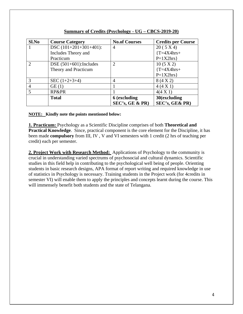| S1.No          | <b>Course Category</b>     | <b>No.of Courses</b> | <b>Credits per Course</b> |
|----------------|----------------------------|----------------------|---------------------------|
|                | $DSC(101+201+301+401)$ :   | $\overline{4}$       | 20(5 X 4)                 |
|                | Includes Theory and        |                      | $T = 4X4hrs+$             |
|                | Practicum                  |                      | $P=1X2hrs$                |
| $\mathcal{D}$  | DSE $(501+601)$ : Includes | $\overline{2}$       | $10(5 \text{ X } 2)$      |
|                | Theory and Practicum       |                      | $T = 4X4hrs+$             |
|                |                            |                      | $P=1X2hrs$                |
| 3              | SEC $(1+2+3+4)$            | $\overline{A}$       | 8(4 X 2)                  |
| $\overline{4}$ | GE(1)                      |                      | 4(4 X 1)                  |
| 5              | RP&PR                      |                      | $4(4 \times 1)$           |
|                | <b>Total</b>               | <b>6</b> (excluding  | 30(excluding              |
|                |                            | SEC's, GE & PR)      | SEC's, GE& PR)            |

#### **Summary of Credits (Psychology - UG – CBCS-2019-20)**

#### **NOTE: Kindly note the points mentioned below:**

**1. Practicum:** Psychology as a Scientific Discipline comprises of both **Theoretical and Practical Knowledge**. Since, practical component is the core element for the Discipline, it has been made **compulsory** from III, IV , V and VI semesters with 1 credit (2 hrs of teaching per credit) each per semester.

**2. Project Work with Research Method:** Applications of Psychology to the community is crucial in understanding varied spectrums of psychosocial and cultural dynamics. Scientific studies in this field help in contributing to the psychological well being of people. Orienting students in basic research designs, APA format of report writing and required knowledge in use of statistics in Psychology is necessary. Training students in the Project work (for 4credits in semester VI) will enable them to apply the principles and concepts learnt during the course. This will immensely benefit both students and the state of Telangana.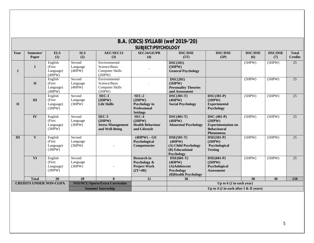|                    | B.A. (CBCS) SYLLABI (wef 2019-'20) |                                           |                              |                                                                    |                                                                        |                                                                                 |                                                                                                           |                |                |                 |  |
|--------------------|------------------------------------|-------------------------------------------|------------------------------|--------------------------------------------------------------------|------------------------------------------------------------------------|---------------------------------------------------------------------------------|-----------------------------------------------------------------------------------------------------------|----------------|----------------|-----------------|--|
| SUBJECT:PSYCHOLOGY |                                    |                                           |                              |                                                                    |                                                                        |                                                                                 |                                                                                                           |                |                |                 |  |
| Year               | Semester/                          | <b>ELS</b>                                | <b>SLS</b>                   | AEC/SEC13                                                          | <b>SEC24/GE/PR</b>                                                     | <b>DSC/DSE</b>                                                                  | <b>DSC/DSE</b>                                                                                            | <b>DSC/DSE</b> | <b>DSC/DSE</b> | <b>Total</b>    |  |
|                    | Paper                              | (1)                                       | (2)                          | (3)                                                                | (4)                                                                    | (5T)                                                                            | (5P)                                                                                                      | (6)            | (7)            | <b>Credits</b>  |  |
| $\mathbf I$        | $\mathbf I$                        | English<br>(First<br>Language)<br>(4HPW)  | Second<br>Language<br>(4HPW) | Environmental<br>Science/Basic<br><b>Computer Skills</b><br>(2HPW) |                                                                        | DSC(101)<br>(5HPW)<br><b>General Psychology</b>                                 |                                                                                                           | (5HPW)         | (5HPW)         | $\overline{25}$ |  |
|                    | $\mathbf{I}$                       | English<br>(First)<br>Language)<br>(4HPW) | Second<br>Language<br>(4HPW) | Environmental<br>Science/Basic<br><b>Computer Skills</b><br>(2HPW) |                                                                        | DSC(201)<br>(5HPW)<br><b>Personality Theories</b><br>and Assessment             |                                                                                                           | (5HPW)         | (5HPW)         | 25              |  |
| $\mathbf{H}$       | III                                | English<br>(First)<br>Language)<br>(3HPW) | Second<br>Language<br>(3HPW) | $SEC-1$<br>(2HPW)<br><b>Life Skills</b>                            | $SEC-2$<br>(2HPW)<br>Psychology in<br>Professional<br><b>Settings</b>  | $DSC(301-T)$<br>(4HPW)<br><b>Social Psychology</b>                              | $DSC(301-P)$<br>(2HPW)<br><b>Experimental</b><br>Psychology                                               | (5HPW)         | (5HPW)         | 25              |  |
|                    | $\overline{\mathbf{IV}}$           | English<br>(First)<br>Language)<br>(3HPW) | Second<br>Language<br>(3HPW) | $SEC-3$<br>(2HPW)<br><b>Stress Management</b><br>and Well-Being    | $SEC-4$<br>(2HPW)<br><b>Health Behaviour</b><br>and Lifestyle          | $DSC(401-T)$<br>(4HPW)<br><b>Abnormal Psychology</b>                            | $\overline{\text{DSC (401-P)}}$<br>(2HPW)<br><b>Experimentation on</b><br><b>Behavioural</b><br>Phenomena | (5HPW)         | (5HPW)         | 25              |  |
| III                | $\mathbf{V}$                       | English<br>(First)<br>Language)<br>(3HPW) | Second<br>Language<br>(3HPW) |                                                                    | $(4HPW) - GE$<br>Psychological<br><b>Competencies</b>                  | $DSE(501-T)$<br>(4HPW)<br>(A) Child Psychology<br>(B) Educational<br>Psychology | $DSE(501-P)$<br>(2HPW)<br>Psychological<br><b>Testing</b>                                                 | (5HPW)         | (5HPW)         | 25              |  |
|                    | <b>VI</b>                          | English<br>(First)<br>Language)<br>(3HPW) | Second<br>Language<br>(3HPW) |                                                                    | <b>Research in</b><br>Psychology &<br><b>Project Work</b><br>$(2T+4R)$ | $DSE(601-T)$<br>(4HPW)<br>(A)Adolescent<br>Psychology<br>(B)Health Psychology   | $\text{DSE}(601-P)$<br>(2HPW)<br>Psychological<br><b>Assessment</b>                                       | (5HPW)         | (5HPW)         | 25              |  |
|                    | <b>Total</b>                       | 20                                        | 20                           | 8                                                                  | 12                                                                     | 30                                                                              |                                                                                                           | 30             | 30             | 150             |  |
|                    | <b>CREDITS UNDER NON-CGPA</b>      |                                           |                              | <b>NSS/NCC/Sports/Extra Curricular</b>                             |                                                                        |                                                                                 | Up to $6(2 \text{ in each year})$                                                                         |                |                |                 |  |
|                    |                                    |                                           | <b>Summer Internship</b>     |                                                                    |                                                                        | Up to 4 (2 in each after I $&$ II years)                                        |                                                                                                           |                |                |                 |  |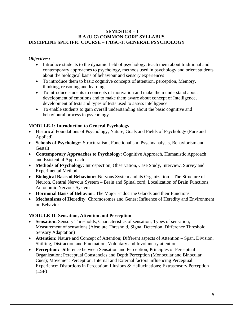#### **SEMESTER – I B.A (U.G) COMMON CORE SYLLABUS DISCIPLINE SPECIFIC COURSE – I /DSC-1: GENERAL PSYCHOLOGY**

#### *Objectives:*

- Introduce students to the dynamic field of psychology, teach them about traditional and contemporary approaches to psychology, methods used in psychology and orient students about the biological basis of behaviour and sensory experiences
- To introduce them to basic cognitive concepts of attention, perception, Memory, thinking, reasoning and learning
- To introduce students to concepts of motivation and make them understand about development of emotions and to make them aware about concept of Intelligence, development of tests and types of tests used to assess intelligence
- To enable students to gain overall understanding about the basic cognitive and behavioural process in psychology

# **MODULE-1: Introduction to General Psychology**

- Historical Foundations of Psychology; Nature, Goals and Fields of Psychology (Pure and Applied)
- **Schools of Psychology:** Structuralism, Functionalism, Psychoanalysis, Behaviorism and Gestalt
- **Contemporary Approaches to Psychology:** Cognitive Approach, Humanistic Approach and Existential Approach
- **Methods of Psychology:** Introspection, Observation, Case Study, Interview, Survey and Experimental Method
- **Biological Basis of Behaviour:** Nervous System and its Organization The Structure of Neuron, Central Nervous System – Brain and Spinal cord, Localization of Brain Functions, Autonomic Nervous System
- **Hormonal Basis of Behavior:** The Major Endocrine Glands and their Functions
- **Mechanisms of Heredity**: Chromosomes and Genes; Influence of Heredity and Environment on Behavior

# **MODULE-II: Sensation, Attention and Perception**

- **Sensation:** Sensory Thresholds; Characteristics of sensation; Types of sensation; Measurement of sensations (Absolute Threshold, Signal Detection, Difference Threshold, Sensory Adaptation)
- **Attention:** Nature and Concept of Attention; Different aspects of Attention Span, Division, Shifting, Distraction and Fluctuation, Voluntary and Involuntary attention
- **Perception:** Difference between Sensation and Perception; Principles of Perceptual Organization; Perceptual Constancies and Depth Perception (Monocular and Binocular Cues); Movement Perception; Internal and External factors influencing Perceptual Experience; Distortions in Perception: Illusions & Hallucinations; Extrasensory Perception (ESP)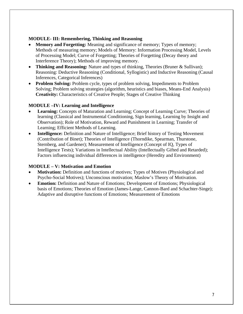# **MODULE- III: Remembering, Thinking and Reasoning**

- **Memory and Forgetting:** Meaning and significance of memory; Types of memory; Methods of measuring memory; Models of Memory: Information Processing Model, Levels of Processing Model; Curve of Forgetting; Theories of Forgetting (Decay theory and Interference Theory); Methods of improving memory.
- **Thinking and Reasoning:** Nature and types of thinking, Theories (Bruner & Sullivan); Reasoning: Deductive Reasoning (Conditional, Syllogistic) and Inductive Reasoning (Causal Inferences, Categorical Inferences)
- **Problem Solving:** Problem cycle, types of problem solving, Impediments to Problem Solving; Problem solving strategies (algorithm, heuristics and biases, Means-End Analysis) **Creativity:** Characteristics of Creative People; Stages of Creative Thinking

# **MODULE –IV: Learning and Intelligence**

- **Learning:** Concepts of Maturation and Learning; Concept of Learning Curve; Theories of learning (Classical and Instrumental Conditioning, Sign learning, Learning by Insight and Observation); Role of Motivation, Reward and Punishment in Learning; Transfer of Learning; Efficient Methods of Learning.
- **Intelligence:** Definition and Nature of Intelligence; Brief history of Testing Movement (Contribution of Binet); Theories of Intelligence (Thorndike, Spearman, Thurstone, Sternberg, and Gardener); Measurement of Intelligence (Concept of IQ, Types of Intelligence Tests); Variations in Intellectual Ability (Intellectually Gifted and Retarded); Factors influencing individual differences in intelligence (Heredity and Environment)

# **MODULE – V: Motivation and Emotion**

- **Motivation:** Definition and functions of motives; Types of Motives (Physiological and Psycho-Social Motives); Unconscious motivation; Maslow's Theory of Motivation.
- **Emotion:** Definition and Nature of Emotions; Development of Emotions; Physiological basis of Emotions; Theories of Emotion (James-Lange, Cannon-Bard and Schachter-Singe); Adaptive and disruptive functions of Emotions; Measurement of Emotions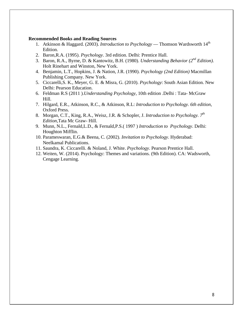#### **Recommended Books and Reading Sources**

- 1. Atkinson & Haggard. (2003). *Introduction to Psychology* Thomson Wardsworth 14<sup>th</sup> Edition.
- 2. Baron,R.A. (1995). *Psychology*. 3rd edition. Delhi: Prentice Hall.
- 3. Baron, R.A., Byrne, D. & Kantowitz, B.H. (1980). *Understanding Behavior (2nd Edition).* Holt Rinehart and Winston, New York.
- 4. Benjamin, L.T., Hopkins, J. & Nation, J.R. (1990). *Psychology (2nd Edition)* Macmillan Publishing Company. New York.
- 5. Ciccarelli,S. K., Meyer, G. E. & Misra, G. (2010). *Psychology*: South Asian Edition. New Delhi: Pearson Education.
- 6. Feldman R.S (2011 ).*Understanding Psychology*, 10th edition .Delhi : Tata- McGraw Hill.
- 7. Hilgard, E.R., Atkinson, R.C., & Atkinson, R.L: *Introduction to Psychology. 6th edition,* Oxford Press.
- 8. Morgan, C.T., King, R.A., Weisz, J.R. & Schopler, J. *Introduction to Psychology. 7th Edition*,Tata Mc Graw- Hill.
- 9. Munn, N.L., Fernald,L.D., & Fernald,P.S.( 1997 ) *Introduction to Psychology*. Delhi: Houghton Mifflin.
- 10. Parameswaran, E.G.& Beena, C. (2002). *Invitation to Psychology*. Hyderabad: Neelkamal Publications.
- 11. Saundra, K. Ciccarelli. & Noland, J. White. *Psychology*. Pearson Prentice Hall.
- 12. Weiten, W. (2014). Psychology: Themes and variations. (9th Edition). CA: Wadsworth, Cengage Learning.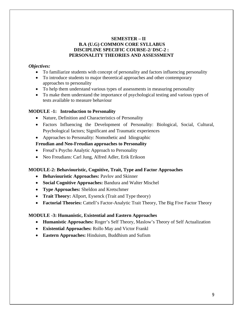#### **SEMESTER – II B.A (U.G) COMMON CORE SYLLABUS DISCIPLINE SPECIFIC COURSE-2/ DSC-2 : PERSONALITY THEORIES AND ASSESSMENT**

#### *Objectives:*

- To familiarize students with concept of personality and factors influencing personality
- To introduce students to major theoretical approaches and other contemporary approaches to personality
- To help them understand various types of assessments in measuring personality
- To make them understand the importance of psychological testing and various types of tests available to measure behaviour

# **MODULE -1: Introduction to Personality**

- Nature, Definition and Characteristics of Personality
- Factors Influencing the Development of Personality: Biological, Social, Cultural, Psychological factors; Significant and Traumatic experiences
- Approaches to Personality: Nomothetic and Idiographic

# **Freudian and Neo-Freudian approaches to Personality**

- Freud's Psycho Analytic Approach to Personality
- Neo Freudians: Carl Jung, Alfred Adler, Erik Erikson

# **MODULE-2: Behaviouristic, Cognitive, Trait, Type and Factor Approaches**

- **Behaviouristic Approaches:** Pavlov and Skinner
- **Social Cognitive Approaches:** Bandura and Walter Mischel
- **Type Approaches:** Sheldon and Kretschmer
- **Trait Theory:** Allport, Eysenck (Trait and Type theory)
- **Factorial Theories:** Cattell's Factor-Analytic Trait Theory, The Big Five Factor Theory

#### **MODULE -3: Humanistic, Existential and Eastern Approaches**

- **Humanistic Approaches:** Roger's Self Theory, Maslow's Theory of Self Actualization
- **Existential Approaches:** Rollo May and Victor Frankl
- **Eastern Approaches:** Hinduism, Buddhism and Sufism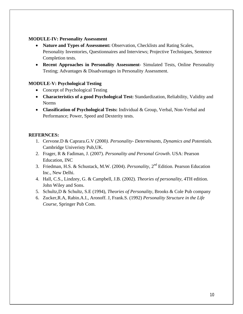#### **MODULE-IV: Personality Assessment**

- Nature and Types of Assessment: Observation, Checklists and Rating Scales, Personality Inventories, Questionnaires and Interviews; Projective Techniques, Sentence Completion tests.
- **Recent Approaches in Personality Assessment** Simulated Tests, Online Personality Testing; Advantages & Disadvantages in Personality Assessment.

# **MODULE-V: Psychological Testing**

- Concept of Psychological Testing
- **Characteristics of a good Psychological Test:** Standardization, Reliability, Validity and Norms
- **Classification of Psychological Tests:** Individual & Group, Verbal, Non-Verbal and Performance; Power, Speed and Dexterity tests.

#### **REFERNCES:**

- 1. Cervone.D & Caprara.G.V (2000*). Personality- Determinants, Dynamics and Potentials.* Cambridge Univeristy Pub,UK.
- 2. Frager, R & Fadiman, J. (2007). *Personality and Personal Growth*. USA: Pearson Education, INC
- 3. Friedman, H.S. & Schustack, M.W. (2004). *Personality*, 2nd Edition. Pearson Education Inc., New Delhi.
- 4. Hall, C.S., Lindzey, G. & Campbell, J.B. (2002). *Theories of personality*, 4TH edition. John Wiley and Sons.
- 5. Schultz,D & Schultz, S.E (1994), *Theories of Personality*, Brooks & Cole Pub company
- 6. Zucker,R.A, Rabin.A.I., Aronoff. J, Frank.S. (1992) *Personality Structure in the Life Course*, Springer Pub Com.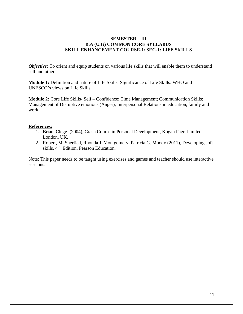#### **SEMESTER – III B.A (U.G) COMMON CORE SYLLABUS SKILL ENHANCEMENT COURSE-1/ SEC-1: LIFE SKILLS**

*Objective:* To orient and equip students on various life skills that will enable them to understand self and others

**Module 1:** Definition and nature of Life Skills, Significance of Life Skills: WHO and UNESCO's views on Life Skills

**Module 2:** Core Life Skills- Self – Confidence; Time Management; Communication Skills; Management of Disruptive emotions (Anger); Interpersonal Relations in education, family and work

#### **References:**

- 1. Brian, Clegg. (2004), Crash Course in Personal Development, Kogan Page Limited, London, UK.
- 2. Robert, M. Sherfied, Rhonda J. Montgomery, Patricia G. Moody (2011), Developing soft skills,  $4<sup>th</sup>$  Edition, Pearson Education.

Note: This paper needs to be taught using exercises and games and teacher should use interactive sessions.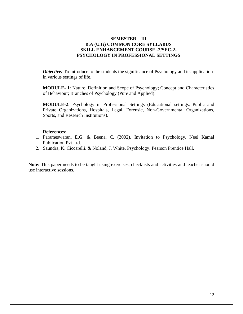#### **SEMESTER – III B.A (U.G) COMMON CORE SYLLABUS SKILL ENHANCEMENT COURSE -2/SEC-2- PSYCHOLOGY IN PROFESSIONAL SETTINGS**

*Objective:* To introduce to the students the significance of Psychology and its application in various settings of life.

**MODULE- 1**: Nature, Definition and Scope of Psychology; Concept and Characteristics of Behaviour; Branches of Psychology (Pure and Applied).

**MODULE-2**: Psychology in Professional Settings (Educational settings, Public and Private Organizations, Hospitals, Legal, Forensic, Non-Governmental Organizations, Sports, and Research Institutions).

#### **References:**

- 1. Parameswaran, E.G. & Beena, C. (2002). Invitation to Psychology. Neel Kamal Publication Pvt Ltd.
- 2. Saundra, K. Ciccarelli. & Noland, J. White. Psychology. Pearson Prentice Hall.

**Note:** This paper needs to be taught using exercises, checklists and activities and teacher should use interactive sessions.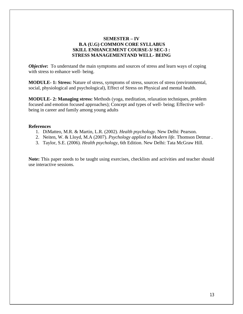#### **SEMESTER – IV B.A (U.G) COMMON CORE SYLLABUS SKILL ENHANCEMENT COURSE-3/ SEC-3 : STRESS MANAGEMENTAND WELL- BEING**

*Objective*: To understand the main symptoms and sources of stress and learn ways of coping with stress to enhance well- being.

**MODULE- 1: Stress:** Nature of stress, symptoms of stress, sources of stress (environmental, social, physiological and psychological), Effect of Stress on Physical and mental health.

**MODULE- 2: Managing stress:** Methods (yoga, meditation, relaxation techniques, problem focused and emotion focused approaches); Concept and types of well- being; Effective wellbeing in career and family among young adults

#### **References**

- 1. DiMatteo, M.R. & Martin, L.R. (2002). *Health psychology*. New Delhi: Pearson.
- 2. Neiten, W. & Lloyd, M.A (2007). *Psychology applied to Modern life*. Thomson Detmar .
- 3. Taylor, S.E. (2006). *Health psychology*, 6th Edition. New Delhi: Tata McGraw Hill.

**Note:** This paper needs to be taught using exercises, checklists and activities and teacher should use interactive sessions.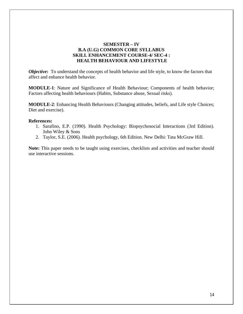#### **SEMESTER – IV B.A (U.G) COMMON CORE SYLLABUS SKILL ENHANCEMENT COURSE-4/ SEC-4 : HEALTH BEHAVIOUR AND LIFESTYLE**

*Objective*: To understand the concepts of health behavior and life style, to know the factors that affect and enhance health behavior.

**MODULE-1**: Nature and Significance of Health Behaviour; Components of health behavior; Factors affecting health behaviours (Habits, Substance abuse, Sexual risks).

**MODULE-2**: Enhancing Health Behaviours (Changing attitudes, beliefs, and Life style Choices; Diet and exercise).

#### **References:**

- 1. Sarafino, E.P. (1990). Health Psychology: Biopsychosocial Interactions (3rd Edition). John Wiley & Sons
- 2. Taylor, S.E. (2006). Health psychology, 6th Edition. New Delhi: Tata McGraw Hill.

**Note:** This paper needs to be taught using exercises, checklists and activities and teacher should use interactive sessions.